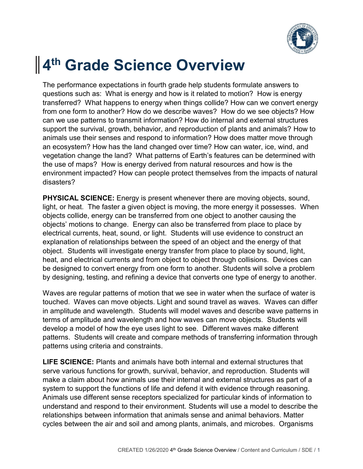

## **4 th Grade Science Overview**

The performance expectations in fourth grade help students formulate answers to questions such as: What is energy and how is it related to motion? How is energy transferred? What happens to energy when things collide? How can we convert energy from one form to another? How do we describe waves? How do we see objects? How can we use patterns to transmit information? How do internal and external structures support the survival, growth, behavior, and reproduction of plants and animals? How to animals use their senses and respond to information? How does matter move through an ecosystem? How has the land changed over time? How can water, ice, wind, and vegetation change the land? What patterns of Earth's features can be determined with the use of maps? How is energy derived from natural resources and how is the environment impacted? How can people protect themselves from the impacts of natural disasters?

**PHYSICAL SCIENCE:** Energy is present whenever there are moving objects, sound, light, or heat. The faster a given object is moving, the more energy it possesses. When objects collide, energy can be transferred from one object to another causing the objects' motions to change. Energy can also be transferred from place to place by electrical currents, heat, sound, or light. Students will use evidence to construct an explanation of relationships between the speed of an object and the energy of that object. Students will investigate energy transfer from place to place by sound, light, heat, and electrical currents and from object to object through collisions. Devices can be designed to convert energy from one form to another. Students will solve a problem by designing, testing, and refining a device that converts one type of energy to another.

Waves are regular patterns of motion that we see in water when the surface of water is touched. Waves can move objects. Light and sound travel as waves. Waves can differ in amplitude and wavelength. Students will model waves and describe wave patterns in terms of amplitude and wavelength and how waves can move objects. Students will develop a model of how the eye uses light to see. Different waves make different patterns. Students will create and compare methods of transferring information through patterns using criteria and constraints.

**LIFE SCIENCE:** Plants and animals have both internal and external structures that serve various functions for growth, survival, behavior, and reproduction. Students will make a claim about how animals use their internal and external structures as part of a system to support the functions of life and defend it with evidence through reasoning. Animals use different sense receptors specialized for particular kinds of information to understand and respond to their environment. Students will use a model to describe the relationships between information that animals sense and animal behaviors. Matter cycles between the air and soil and among plants, animals, and microbes. Organisms